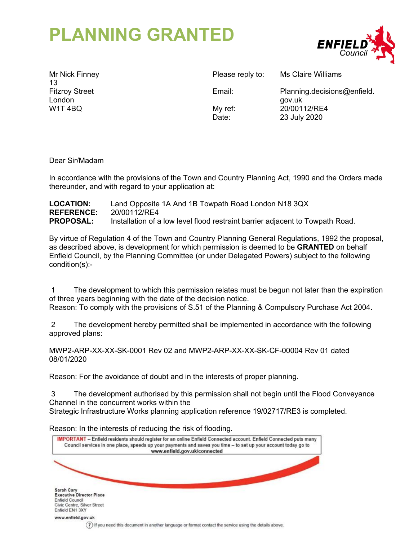# **PLANNING GRANTED**



Mr Nick Finney 13 Fitzroy Street London W1T 4BQ

Please reply to: Ms Claire Williams

Email: Planning.decisions@enfield. gov.uk My ref: 20/00112/RE4 Date: 23 July 2020

Dear Sir/Madam

In accordance with the provisions of the Town and Country Planning Act, 1990 and the Orders made thereunder, and with regard to your application at:

## **LOCATION:** Land Opposite 1A And 1B Towpath Road London N18 3QX **REFERENCE:** 20/00112/RE4 **PROPOSAL:** Installation of a low level flood restraint barrier adjacent to Towpath Road.

By virtue of Regulation 4 of the Town and Country Planning General Regulations, 1992 the proposal, as described above, is development for which permission is deemed to be **GRANTED** on behalf Enfield Council, by the Planning Committee (or under Delegated Powers) subject to the following condition(s):-

 1 The development to which this permission relates must be begun not later than the expiration of three years beginning with the date of the decision notice. Reason: To comply with the provisions of S.51 of the Planning & Compulsory Purchase Act 2004.

 2 The development hereby permitted shall be implemented in accordance with the following approved plans:

MWP2-ARP-XX-XX-SK-0001 Rev 02 and MWP2-ARP-XX-XX-SK-CF-00004 Rev 01 dated 08/01/2020

Reason: For the avoidance of doubt and in the interests of proper planning.

 3 The development authorised by this permission shall not begin until the Flood Conveyance Channel in the concurrent works within the

Strategic Infrastructure Works planning application reference 19/02717/RE3 is completed.

Reason: In the interests of reducing the risk of flooding.

| IMPORTANT - Enfield residents should register for an online Enfield Connected account. Enfield Connected puts many<br>Council services in one place, speeds up your payments and saves you time - to set up your account today go to<br>www.enfield.gov.uk/connected |                                                                                                         |  |
|----------------------------------------------------------------------------------------------------------------------------------------------------------------------------------------------------------------------------------------------------------------------|---------------------------------------------------------------------------------------------------------|--|
|                                                                                                                                                                                                                                                                      |                                                                                                         |  |
| Sarah Cary                                                                                                                                                                                                                                                           |                                                                                                         |  |
| <b>Executive Director Place</b><br><b>Enfield Council</b><br>Civic Centre, Silver Street<br>Enfield EN1 3XY                                                                                                                                                          |                                                                                                         |  |
| www.enfield.gov.uk                                                                                                                                                                                                                                                   | 7) If you need this document in another language or format contact the service using the details above. |  |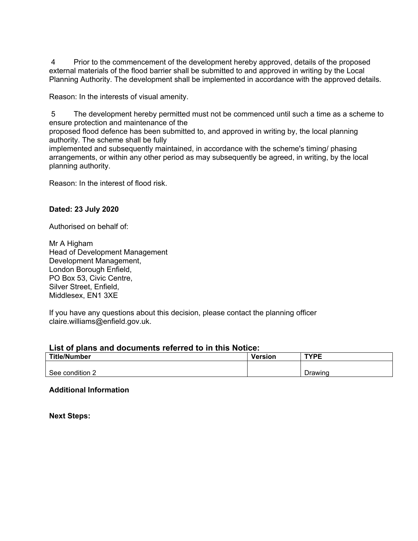4 Prior to the commencement of the development hereby approved, details of the proposed external materials of the flood barrier shall be submitted to and approved in writing by the Local Planning Authority. The development shall be implemented in accordance with the approved details.

Reason: In the interests of visual amenity.

 5 The development hereby permitted must not be commenced until such a time as a scheme to ensure protection and maintenance of the

proposed flood defence has been submitted to, and approved in writing by, the local planning authority. The scheme shall be fully

implemented and subsequently maintained, in accordance with the scheme's timing/ phasing arrangements, or within any other period as may subsequently be agreed, in writing, by the local planning authority.

Reason: In the interest of flood risk.

# **Dated: 23 July 2020**

Authorised on behalf of:

Mr A Higham Head of Development Management Development Management, London Borough Enfield, PO Box 53, Civic Centre, Silver Street, Enfield, Middlesex, EN1 3XE

If you have any questions about this decision, please contact the planning officer claire.williams@enfield.gov.uk.

#### **List of plans and documents referred to in this Notice:**

| <b>Title/Number</b> | <b>Version</b> | <b>TYPE</b> |
|---------------------|----------------|-------------|
|                     |                |             |
| See condition 2     |                | Drawing     |

#### **Additional Information**

**Next Steps:**